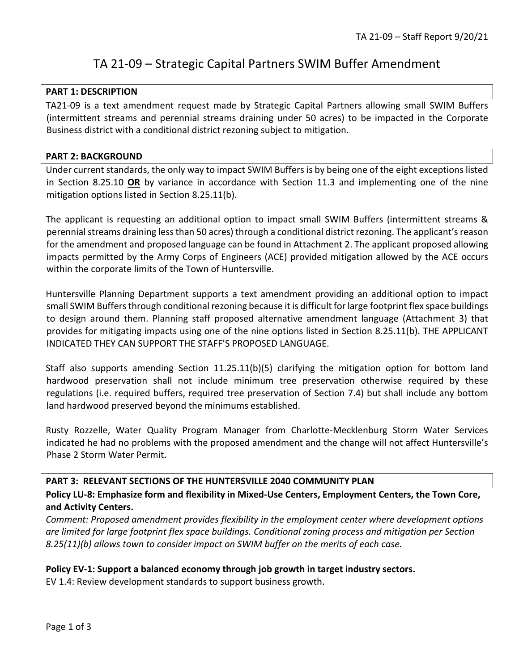# TA 21-09 – Strategic Capital Partners SWIM Buffer Amendment

#### **PART 1: DESCRIPTION**

TA21-09 is a text amendment request made by Strategic Capital Partners allowing small SWIM Buffers (intermittent streams and perennial streams draining under 50 acres) to be impacted in the Corporate Business district with a conditional district rezoning subject to mitigation.

#### **PART 2: BACKGROUND**

Under current standards, the only way to impact SWIM Buffers is by being one of the eight exceptions listed in Section 8.25.10 **OR** by variance in accordance with Section 11.3 and implementing one of the nine mitigation options listed in Section 8.25.11(b).

The applicant is requesting an additional option to impact small SWIM Buffers (intermittent streams & perennial streams draining less than 50 acres) through a conditional district rezoning. The applicant's reason for the amendment and proposed language can be found in Attachment 2. The applicant proposed allowing impacts permitted by the Army Corps of Engineers (ACE) provided mitigation allowed by the ACE occurs within the corporate limits of the Town of Huntersville.

Huntersville Planning Department supports a text amendment providing an additional option to impact small SWIM Buffers through conditional rezoning because it is difficult for large footprint flex space buildings to design around them. Planning staff proposed alternative amendment language (Attachment 3) that provides for mitigating impacts using one of the nine options listed in Section 8.25.11(b). THE APPLICANT INDICATED THEY CAN SUPPORT THE STAFF'S PROPOSED LANGUAGE.

Staff also supports amending Section 11.25.11(b)(5) clarifying the mitigation option for bottom land hardwood preservation shall not include minimum tree preservation otherwise required by these regulations (i.e. required buffers, required tree preservation of Section 7.4) but shall include any bottom land hardwood preserved beyond the minimums established.

Rusty Rozzelle, Water Quality Program Manager from Charlotte-Mecklenburg Storm Water Services indicated he had no problems with the proposed amendment and the change will not affect Huntersville's Phase 2 Storm Water Permit.

## **PART 3: RELEVANT SECTIONS OF THE HUNTERSVILLE 2040 COMMUNITY PLAN**

**Policy LU-8: Emphasize form and flexibility in Mixed-Use Centers, Employment Centers, the Town Core, and Activity Centers.** 

*Comment: Proposed amendment provides flexibility in the employment center where development options are limited for large footprint flex space buildings. Conditional zoning process and mitigation per Section 8.25(11)(b) allows town to consider impact on SWIM buffer on the merits of each case.*

## **Policy EV-1: Support a balanced economy through job growth in target industry sectors.**

EV 1.4: Review development standards to support business growth.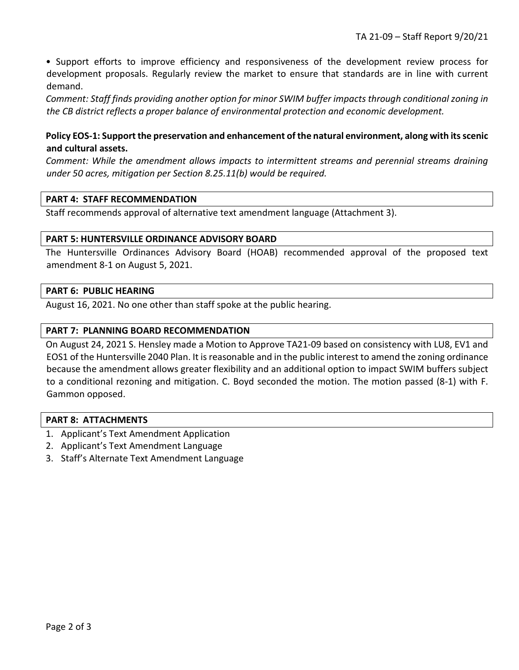• Support efforts to improve efficiency and responsiveness of the development review process for development proposals. Regularly review the market to ensure that standards are in line with current demand.

*Comment: Staff finds providing another option for minor SWIM buffer impacts through conditional zoning in the CB district reflects a proper balance of environmental protection and economic development.*

# **Policy EOS-1: Support the preservation and enhancement of the natural environment, along with its scenic and cultural assets.**

*Comment: While the amendment allows impacts to intermittent streams and perennial streams draining under 50 acres, mitigation per Section 8.25.11(b) would be required.*

## **PART 4: STAFF RECOMMENDATION**

Staff recommends approval of alternative text amendment language (Attachment 3).

## **PART 5: HUNTERSVILLE ORDINANCE ADVISORY BOARD**

The Huntersville Ordinances Advisory Board (HOAB) recommended approval of the proposed text amendment 8-1 on August 5, 2021.

#### **PART 6: PUBLIC HEARING**

August 16, 2021. No one other than staff spoke at the public hearing.

## **PART 7: PLANNING BOARD RECOMMENDATION**

On August 24, 2021 S. Hensley made a Motion to Approve TA21-09 based on consistency with LU8, EV1 and EOS1 of the Huntersville 2040 Plan. It is reasonable and in the public interest to amend the zoning ordinance because the amendment allows greater flexibility and an additional option to impact SWIM buffers subject to a conditional rezoning and mitigation. C. Boyd seconded the motion. The motion passed (8-1) with F. Gammon opposed.

#### **PART 8: ATTACHMENTS**

- 1. Applicant's Text Amendment Application
- 2. Applicant's Text Amendment Language
- 3. Staff's Alternate Text Amendment Language